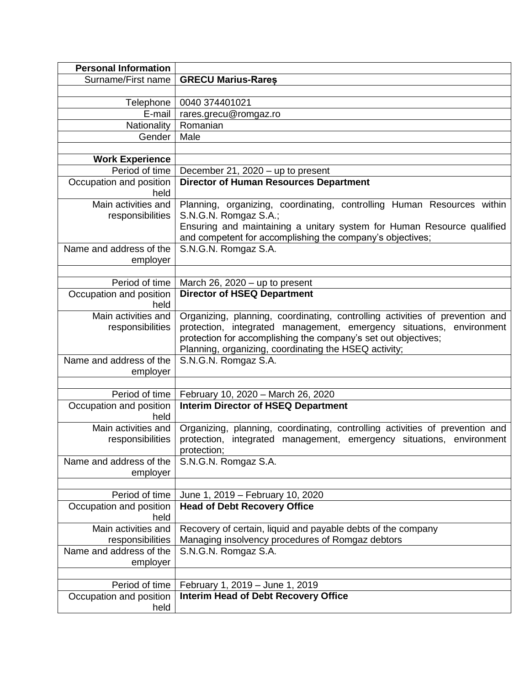| <b>Personal Information</b>             |                                                                                                                                                                                                                                                                                 |  |  |
|-----------------------------------------|---------------------------------------------------------------------------------------------------------------------------------------------------------------------------------------------------------------------------------------------------------------------------------|--|--|
| Surname/First name                      | <b>GRECU Marius-Rares</b>                                                                                                                                                                                                                                                       |  |  |
|                                         |                                                                                                                                                                                                                                                                                 |  |  |
| Telephone                               | 0040 374401021                                                                                                                                                                                                                                                                  |  |  |
| E-mail                                  | rares.grecu@romgaz.ro                                                                                                                                                                                                                                                           |  |  |
| Nationality                             | Romanian                                                                                                                                                                                                                                                                        |  |  |
| Gender                                  | Male                                                                                                                                                                                                                                                                            |  |  |
|                                         |                                                                                                                                                                                                                                                                                 |  |  |
| <b>Work Experience</b>                  |                                                                                                                                                                                                                                                                                 |  |  |
| Period of time                          | December 21, 2020 - up to present                                                                                                                                                                                                                                               |  |  |
| Occupation and position<br>held         | <b>Director of Human Resources Department</b>                                                                                                                                                                                                                                   |  |  |
| Main activities and<br>responsibilities | Planning, organizing, coordinating, controlling Human Resources within<br>S.N.G.N. Romgaz S.A.;<br>Ensuring and maintaining a unitary system for Human Resource qualified                                                                                                       |  |  |
|                                         | and competent for accomplishing the company's objectives;                                                                                                                                                                                                                       |  |  |
| Name and address of the<br>employer     | S.N.G.N. Romgaz S.A.                                                                                                                                                                                                                                                            |  |  |
| Period of time                          | March 26, 2020 $-$ up to present                                                                                                                                                                                                                                                |  |  |
| Occupation and position                 | <b>Director of HSEQ Department</b>                                                                                                                                                                                                                                              |  |  |
| held                                    |                                                                                                                                                                                                                                                                                 |  |  |
| Main activities and<br>responsibilities | Organizing, planning, coordinating, controlling activities of prevention and<br>protection, integrated management, emergency situations, environment<br>protection for accomplishing the company's set out objectives;<br>Planning, organizing, coordinating the HSEQ activity; |  |  |
| Name and address of the<br>employer     | S.N.G.N. Romgaz S.A.                                                                                                                                                                                                                                                            |  |  |
|                                         |                                                                                                                                                                                                                                                                                 |  |  |
| Period of time                          | February 10, 2020 - March 26, 2020                                                                                                                                                                                                                                              |  |  |
| Occupation and position<br>held         | <b>Interim Director of HSEQ Department</b>                                                                                                                                                                                                                                      |  |  |
| Main activities and<br>responsibilities | Organizing, planning, coordinating, controlling activities of prevention and<br>protection, integrated management, emergency situations, environment<br>protection;                                                                                                             |  |  |
| Name and address of the<br>employer     | S.N.G.N. Romgaz S.A.                                                                                                                                                                                                                                                            |  |  |
|                                         |                                                                                                                                                                                                                                                                                 |  |  |
| Period of time                          | June 1, 2019 – February 10, 2020<br><b>Head of Debt Recovery Office</b>                                                                                                                                                                                                         |  |  |
| Occupation and position<br>held         |                                                                                                                                                                                                                                                                                 |  |  |
| Main activities and                     | Recovery of certain, liquid and payable debts of the company                                                                                                                                                                                                                    |  |  |
| responsibilities                        | Managing insolvency procedures of Romgaz debtors                                                                                                                                                                                                                                |  |  |
| Name and address of the<br>employer     | S.N.G.N. Romgaz S.A.                                                                                                                                                                                                                                                            |  |  |
|                                         |                                                                                                                                                                                                                                                                                 |  |  |
| Period of time                          | February 1, 2019 - June 1, 2019                                                                                                                                                                                                                                                 |  |  |
| Occupation and position                 | <b>Interim Head of Debt Recovery Office</b>                                                                                                                                                                                                                                     |  |  |
| held                                    |                                                                                                                                                                                                                                                                                 |  |  |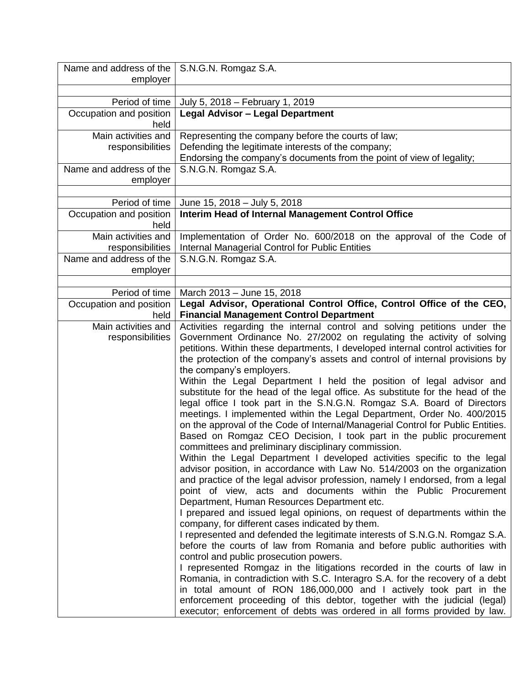| Name and address of the   S.N.G.N. Romgaz S.A. |                                                                                                                                                       |  |  |  |
|------------------------------------------------|-------------------------------------------------------------------------------------------------------------------------------------------------------|--|--|--|
| employer                                       |                                                                                                                                                       |  |  |  |
|                                                |                                                                                                                                                       |  |  |  |
| Period of time                                 | July 5, 2018 - February 1, 2019<br><b>Legal Advisor - Legal Department</b>                                                                            |  |  |  |
| Occupation and position<br>held                |                                                                                                                                                       |  |  |  |
| Main activities and                            | Representing the company before the courts of law;                                                                                                    |  |  |  |
| responsibilities                               | Defending the legitimate interests of the company;                                                                                                    |  |  |  |
| Name and address of the                        | Endorsing the company's documents from the point of view of legality;<br>S.N.G.N. Romgaz S.A.                                                         |  |  |  |
| employer                                       |                                                                                                                                                       |  |  |  |
|                                                |                                                                                                                                                       |  |  |  |
| Period of time                                 | June 15, 2018 - July 5, 2018                                                                                                                          |  |  |  |
| Occupation and position<br>held                | <b>Interim Head of Internal Management Control Office</b>                                                                                             |  |  |  |
| Main activities and                            | Implementation of Order No. 600/2018 on the approval of the Code of                                                                                   |  |  |  |
| responsibilities                               | <b>Internal Managerial Control for Public Entities</b>                                                                                                |  |  |  |
| Name and address of the                        | S.N.G.N. Romgaz S.A.                                                                                                                                  |  |  |  |
| employer                                       |                                                                                                                                                       |  |  |  |
| Period of time                                 | March 2013 - June 15, 2018                                                                                                                            |  |  |  |
| Occupation and position                        | Legal Advisor, Operational Control Office, Control Office of the CEO,                                                                                 |  |  |  |
| held                                           | <b>Financial Management Control Department</b>                                                                                                        |  |  |  |
| Main activities and                            | Activities regarding the internal control and solving petitions under the                                                                             |  |  |  |
| responsibilities                               | Government Ordinance No. 27/2002 on regulating the activity of solving                                                                                |  |  |  |
|                                                | petitions. Within these departments, I developed internal control activities for                                                                      |  |  |  |
|                                                | the protection of the company's assets and control of internal provisions by<br>the company's employers.                                              |  |  |  |
|                                                | Within the Legal Department I held the position of legal advisor and                                                                                  |  |  |  |
|                                                | substitute for the head of the legal office. As substitute for the head of the                                                                        |  |  |  |
|                                                | legal office I took part in the S.N.G.N. Romgaz S.A. Board of Directors                                                                               |  |  |  |
|                                                | meetings. I implemented within the Legal Department, Order No. 400/2015                                                                               |  |  |  |
|                                                | on the approval of the Code of Internal/Managerial Control for Public Entities.                                                                       |  |  |  |
|                                                | Based on Romgaz CEO Decision, I took part in the public procurement                                                                                   |  |  |  |
|                                                | committees and preliminary disciplinary commission.                                                                                                   |  |  |  |
|                                                | Within the Legal Department I developed activities specific to the legal<br>advisor position, in accordance with Law No. 514/2003 on the organization |  |  |  |
|                                                | and practice of the legal advisor profession, namely I endorsed, from a legal                                                                         |  |  |  |
|                                                | point of view, acts and documents within the Public Procurement                                                                                       |  |  |  |
|                                                | Department, Human Resources Department etc.                                                                                                           |  |  |  |
|                                                | I prepared and issued legal opinions, on request of departments within the                                                                            |  |  |  |
|                                                | company, for different cases indicated by them.                                                                                                       |  |  |  |
|                                                | I represented and defended the legitimate interests of S.N.G.N. Romgaz S.A.                                                                           |  |  |  |
|                                                | before the courts of law from Romania and before public authorities with                                                                              |  |  |  |
|                                                | control and public prosecution powers.<br>I represented Romgaz in the litigations recorded in the courts of law in                                    |  |  |  |
|                                                | Romania, in contradiction with S.C. Interagro S.A. for the recovery of a debt                                                                         |  |  |  |
|                                                | in total amount of RON 186,000,000 and I actively took part in the                                                                                    |  |  |  |
|                                                | enforcement proceeding of this debtor, together with the judicial (legal)                                                                             |  |  |  |
|                                                | executor; enforcement of debts was ordered in all forms provided by law.                                                                              |  |  |  |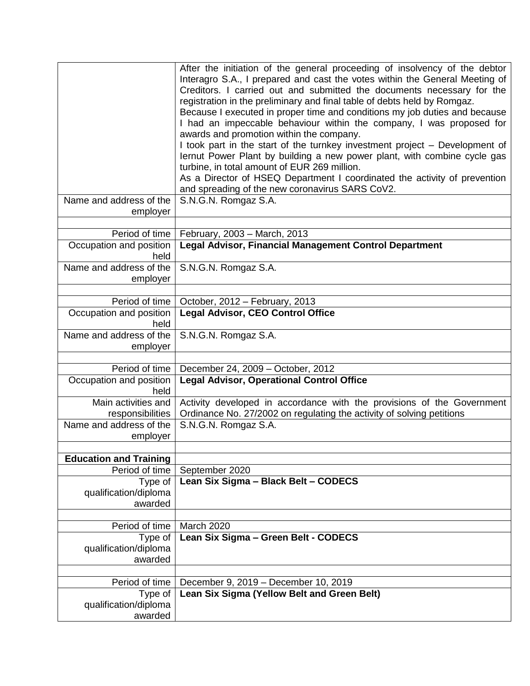| Name and address of the             | After the initiation of the general proceeding of insolvency of the debtor<br>Interagro S.A., I prepared and cast the votes within the General Meeting of<br>Creditors. I carried out and submitted the documents necessary for the<br>registration in the preliminary and final table of debts held by Romgaz.<br>Because I executed in proper time and conditions my job duties and because<br>I had an impeccable behaviour within the company, I was proposed for<br>awards and promotion within the company.<br>I took part in the start of the turnkey investment project - Development of<br>lernut Power Plant by building a new power plant, with combine cycle gas<br>turbine, in total amount of EUR 269 million.<br>As a Director of HSEQ Department I coordinated the activity of prevention<br>and spreading of the new coronavirus SARS CoV2.<br>S.N.G.N. Romgaz S.A. |
|-------------------------------------|--------------------------------------------------------------------------------------------------------------------------------------------------------------------------------------------------------------------------------------------------------------------------------------------------------------------------------------------------------------------------------------------------------------------------------------------------------------------------------------------------------------------------------------------------------------------------------------------------------------------------------------------------------------------------------------------------------------------------------------------------------------------------------------------------------------------------------------------------------------------------------------|
| employer                            |                                                                                                                                                                                                                                                                                                                                                                                                                                                                                                                                                                                                                                                                                                                                                                                                                                                                                      |
| Period of time                      | February, 2003 - March, 2013                                                                                                                                                                                                                                                                                                                                                                                                                                                                                                                                                                                                                                                                                                                                                                                                                                                         |
| Occupation and position<br>held     | <b>Legal Advisor, Financial Management Control Department</b>                                                                                                                                                                                                                                                                                                                                                                                                                                                                                                                                                                                                                                                                                                                                                                                                                        |
| Name and address of the<br>employer | S.N.G.N. Romgaz S.A.                                                                                                                                                                                                                                                                                                                                                                                                                                                                                                                                                                                                                                                                                                                                                                                                                                                                 |
| Period of time                      | October, 2012 - February, 2013                                                                                                                                                                                                                                                                                                                                                                                                                                                                                                                                                                                                                                                                                                                                                                                                                                                       |
| Occupation and position             | <b>Legal Advisor, CEO Control Office</b>                                                                                                                                                                                                                                                                                                                                                                                                                                                                                                                                                                                                                                                                                                                                                                                                                                             |
| held                                |                                                                                                                                                                                                                                                                                                                                                                                                                                                                                                                                                                                                                                                                                                                                                                                                                                                                                      |
| Name and address of the             | S.N.G.N. Romgaz S.A.                                                                                                                                                                                                                                                                                                                                                                                                                                                                                                                                                                                                                                                                                                                                                                                                                                                                 |
| employer                            |                                                                                                                                                                                                                                                                                                                                                                                                                                                                                                                                                                                                                                                                                                                                                                                                                                                                                      |
|                                     |                                                                                                                                                                                                                                                                                                                                                                                                                                                                                                                                                                                                                                                                                                                                                                                                                                                                                      |
| Period of time                      | December 24, 2009 - October, 2012                                                                                                                                                                                                                                                                                                                                                                                                                                                                                                                                                                                                                                                                                                                                                                                                                                                    |
| Occupation and position<br>held     | <b>Legal Advisor, Operational Control Office</b>                                                                                                                                                                                                                                                                                                                                                                                                                                                                                                                                                                                                                                                                                                                                                                                                                                     |
| Main activities and                 | Activity developed in accordance with the provisions of the Government                                                                                                                                                                                                                                                                                                                                                                                                                                                                                                                                                                                                                                                                                                                                                                                                               |
| responsibilities                    | Ordinance No. 27/2002 on regulating the activity of solving petitions                                                                                                                                                                                                                                                                                                                                                                                                                                                                                                                                                                                                                                                                                                                                                                                                                |
| Name and address of the             | S.N.G.N. Romgaz S.A.                                                                                                                                                                                                                                                                                                                                                                                                                                                                                                                                                                                                                                                                                                                                                                                                                                                                 |
| employer                            |                                                                                                                                                                                                                                                                                                                                                                                                                                                                                                                                                                                                                                                                                                                                                                                                                                                                                      |
| <b>Education and Training</b>       |                                                                                                                                                                                                                                                                                                                                                                                                                                                                                                                                                                                                                                                                                                                                                                                                                                                                                      |
| Period of time                      | September 2020                                                                                                                                                                                                                                                                                                                                                                                                                                                                                                                                                                                                                                                                                                                                                                                                                                                                       |
| Type of                             | Lean Six Sigma - Black Belt - CODECS                                                                                                                                                                                                                                                                                                                                                                                                                                                                                                                                                                                                                                                                                                                                                                                                                                                 |
| qualification/diploma               |                                                                                                                                                                                                                                                                                                                                                                                                                                                                                                                                                                                                                                                                                                                                                                                                                                                                                      |
| awarded                             |                                                                                                                                                                                                                                                                                                                                                                                                                                                                                                                                                                                                                                                                                                                                                                                                                                                                                      |
|                                     |                                                                                                                                                                                                                                                                                                                                                                                                                                                                                                                                                                                                                                                                                                                                                                                                                                                                                      |
| Period of time                      | March 2020                                                                                                                                                                                                                                                                                                                                                                                                                                                                                                                                                                                                                                                                                                                                                                                                                                                                           |
| Type of                             | Lean Six Sigma - Green Belt - CODECS                                                                                                                                                                                                                                                                                                                                                                                                                                                                                                                                                                                                                                                                                                                                                                                                                                                 |
| qualification/diploma               |                                                                                                                                                                                                                                                                                                                                                                                                                                                                                                                                                                                                                                                                                                                                                                                                                                                                                      |
| awarded                             |                                                                                                                                                                                                                                                                                                                                                                                                                                                                                                                                                                                                                                                                                                                                                                                                                                                                                      |
| Period of time                      | December 9, 2019 - December 10, 2019                                                                                                                                                                                                                                                                                                                                                                                                                                                                                                                                                                                                                                                                                                                                                                                                                                                 |
| Type of                             | Lean Six Sigma (Yellow Belt and Green Belt)                                                                                                                                                                                                                                                                                                                                                                                                                                                                                                                                                                                                                                                                                                                                                                                                                                          |
| qualification/diploma               |                                                                                                                                                                                                                                                                                                                                                                                                                                                                                                                                                                                                                                                                                                                                                                                                                                                                                      |
| awarded                             |                                                                                                                                                                                                                                                                                                                                                                                                                                                                                                                                                                                                                                                                                                                                                                                                                                                                                      |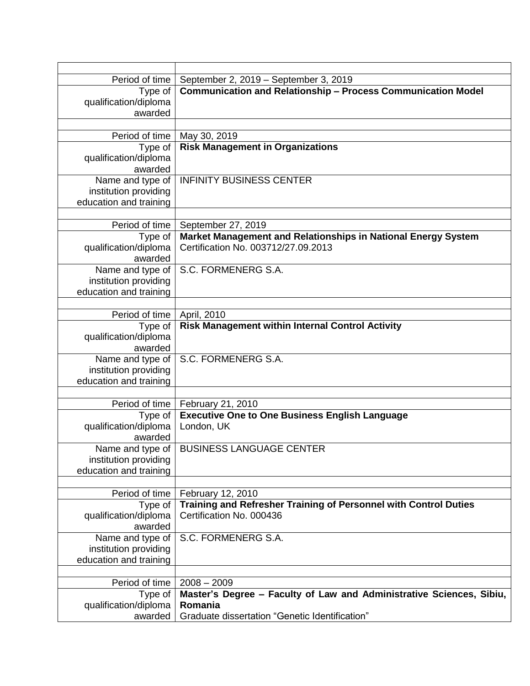| Period of time         | September 2, 2019 – September 3, 2019                                |  |  |  |
|------------------------|----------------------------------------------------------------------|--|--|--|
| Type of                | <b>Communication and Relationship - Process Communication Model</b>  |  |  |  |
| qualification/diploma  |                                                                      |  |  |  |
| awarded                |                                                                      |  |  |  |
|                        |                                                                      |  |  |  |
| Period of time         | May 30, 2019                                                         |  |  |  |
| Type of                | <b>Risk Management in Organizations</b>                              |  |  |  |
| qualification/diploma  |                                                                      |  |  |  |
| awarded                |                                                                      |  |  |  |
| Name and type of       | <b>INFINITY BUSINESS CENTER</b>                                      |  |  |  |
| institution providing  |                                                                      |  |  |  |
| education and training |                                                                      |  |  |  |
|                        |                                                                      |  |  |  |
|                        |                                                                      |  |  |  |
| Period of time         | September 27, 2019                                                   |  |  |  |
| Type of                | Market Management and Relationships in National Energy System        |  |  |  |
| qualification/diploma  | Certification No. 003712/27.09.2013                                  |  |  |  |
| awarded                |                                                                      |  |  |  |
| Name and type of       | S.C. FORMENERG S.A.                                                  |  |  |  |
| institution providing  |                                                                      |  |  |  |
| education and training |                                                                      |  |  |  |
|                        |                                                                      |  |  |  |
| Period of time         | April, 2010                                                          |  |  |  |
| Type of                | <b>Risk Management within Internal Control Activity</b>              |  |  |  |
| qualification/diploma  |                                                                      |  |  |  |
| awarded                |                                                                      |  |  |  |
| Name and type of       | S.C. FORMENERG S.A.                                                  |  |  |  |
| institution providing  |                                                                      |  |  |  |
| education and training |                                                                      |  |  |  |
|                        |                                                                      |  |  |  |
| Period of time         | February 21, 2010                                                    |  |  |  |
| Type of                | <b>Executive One to One Business English Language</b>                |  |  |  |
| qualification/diploma  | London, UK                                                           |  |  |  |
| awarded                |                                                                      |  |  |  |
|                        |                                                                      |  |  |  |
| Name and type of $ $   | <b>BUSINESS LANGUAGE CENTER</b>                                      |  |  |  |
| institution providing  |                                                                      |  |  |  |
| education and training |                                                                      |  |  |  |
|                        |                                                                      |  |  |  |
| Period of time         | February 12, 2010                                                    |  |  |  |
| Type of                | Training and Refresher Training of Personnel with Control Duties     |  |  |  |
| qualification/diploma  | Certification No. 000436                                             |  |  |  |
| awarded                |                                                                      |  |  |  |
| Name and type of       | S.C. FORMENERG S.A.                                                  |  |  |  |
| institution providing  |                                                                      |  |  |  |
| education and training |                                                                      |  |  |  |
|                        |                                                                      |  |  |  |
| Period of time         | $2008 - 2009$                                                        |  |  |  |
| Type of                | Master's Degree - Faculty of Law and Administrative Sciences, Sibiu, |  |  |  |
| qualification/diploma  | Romania                                                              |  |  |  |
| awarded                | Graduate dissertation "Genetic Identification"                       |  |  |  |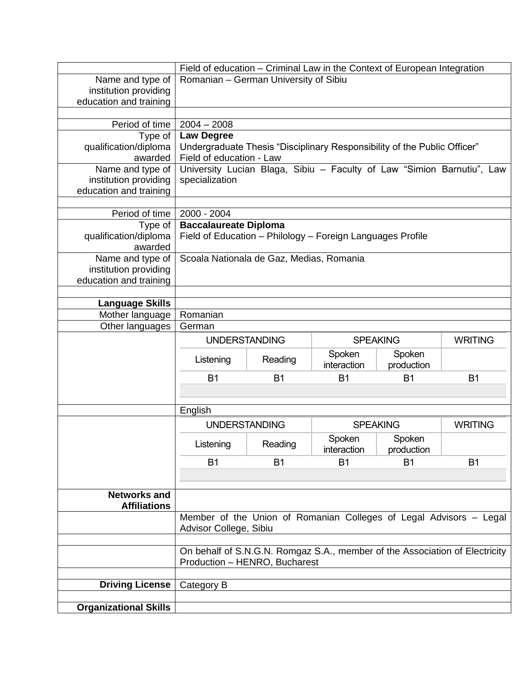|                                            | Field of education - Criminal Law in the Context of European Integration                                     |                              |                 |                |                |
|--------------------------------------------|--------------------------------------------------------------------------------------------------------------|------------------------------|-----------------|----------------|----------------|
| Name and type of                           | Romanian - German University of Sibiu                                                                        |                              |                 |                |                |
| institution providing                      |                                                                                                              |                              |                 |                |                |
| education and training                     |                                                                                                              |                              |                 |                |                |
|                                            |                                                                                                              |                              |                 |                |                |
| Period of time                             | $2004 - 2008$                                                                                                |                              |                 |                |                |
| Type of                                    | <b>Law Degree</b>                                                                                            |                              |                 |                |                |
| qualification/diploma                      | Undergraduate Thesis "Disciplinary Responsibility of the Public Officer"                                     |                              |                 |                |                |
| awarded                                    | Field of education - Law                                                                                     |                              |                 |                |                |
| Name and type of                           | University Lucian Blaga, Sibiu - Faculty of Law "Simion Barnutiu", Law                                       |                              |                 |                |                |
| institution providing                      | specialization                                                                                               |                              |                 |                |                |
| education and training                     |                                                                                                              |                              |                 |                |                |
|                                            |                                                                                                              |                              |                 |                |                |
| Period of time                             | 2000 - 2004                                                                                                  |                              |                 |                |                |
| Type of                                    |                                                                                                              | <b>Baccalaureate Diploma</b> |                 |                |                |
| qualification/diploma                      | Field of Education - Philology - Foreign Languages Profile                                                   |                              |                 |                |                |
| awarded                                    |                                                                                                              |                              |                 |                |                |
| Name and type of                           | Scoala Nationala de Gaz, Medias, Romania                                                                     |                              |                 |                |                |
| institution providing                      |                                                                                                              |                              |                 |                |                |
| education and training                     |                                                                                                              |                              |                 |                |                |
|                                            |                                                                                                              |                              |                 |                |                |
| <b>Language Skills</b>                     |                                                                                                              |                              |                 |                |                |
| Mother language<br>Other languages         | Romanian                                                                                                     |                              |                 |                |                |
|                                            | German                                                                                                       |                              |                 |                |                |
|                                            | <b>UNDERSTANDING</b>                                                                                         |                              | <b>SPEAKING</b> |                | <b>WRITING</b> |
|                                            | Listening                                                                                                    | Reading                      | Spoken          | Spoken         |                |
|                                            |                                                                                                              |                              | interaction     | production     |                |
|                                            | <b>B1</b>                                                                                                    | <b>B1</b>                    | <b>B1</b>       | B <sub>1</sub> | <b>B1</b>      |
|                                            |                                                                                                              |                              |                 |                |                |
|                                            |                                                                                                              |                              |                 |                |                |
|                                            |                                                                                                              | English                      |                 |                |                |
|                                            | <b>UNDERSTANDING</b>                                                                                         |                              | <b>SPEAKING</b> |                | <b>WRITING</b> |
|                                            | Listening                                                                                                    | Reading                      | Spoken          | Spoken         |                |
|                                            |                                                                                                              |                              | interaction     | production     |                |
|                                            | B <sub>1</sub>                                                                                               | B <sub>1</sub>               | <b>B1</b>       | <b>B1</b>      | <b>B1</b>      |
|                                            |                                                                                                              |                              |                 |                |                |
|                                            |                                                                                                              |                              |                 |                |                |
| <b>Networks and</b><br><b>Affiliations</b> |                                                                                                              |                              |                 |                |                |
|                                            | Member of the Union of Romanian Colleges of Legal Advisors - Legal                                           |                              |                 |                |                |
|                                            | Advisor College, Sibiu                                                                                       |                              |                 |                |                |
|                                            |                                                                                                              |                              |                 |                |                |
|                                            |                                                                                                              |                              |                 |                |                |
|                                            | On behalf of S.N.G.N. Romgaz S.A., member of the Association of Electricity<br>Production - HENRO, Bucharest |                              |                 |                |                |
|                                            |                                                                                                              |                              |                 |                |                |
| <b>Driving License</b>                     | Category B                                                                                                   |                              |                 |                |                |
|                                            |                                                                                                              |                              |                 |                |                |
| <b>Organizational Skills</b>               |                                                                                                              |                              |                 |                |                |